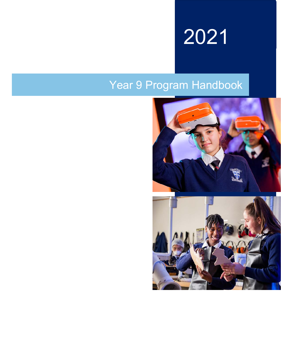

# Year 9 Program Handbook



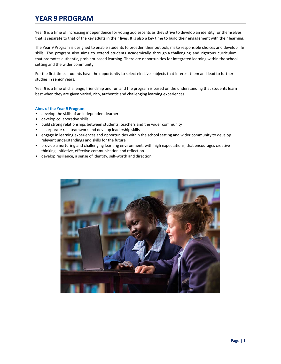# **YEAR 9 PROGRAM**

Year 9 is a time of increasing independence for young adolescents as they strive to develop an identity for themselves that is separate to that of the key adults in their lives. It is also a key time to build their engagement with their learning.

The Year 9 Program is designed to enable students to broaden their outlook, make responsible choices and develop life skills. The program also aims to extend students academically through a challenging and rigorous curriculum that promotes authentic, problem‐based learning. There are opportunities for integrated learning within the school setting and the wider community.

For the first time, students have the opportunity to select elective subjects that interest them and lead to further studies in senior years.

Year 9 is a time of challenge, friendship and fun and the program is based on the understanding that students learn best when they are given varied, rich, authentic and challenging learning experiences.

### **Aims of the Year 9 Program:**

- develop the skills of an independent learner
- develop collaborative skills
- build strong relationships between students, teachers and the wider community
- incorporate real teamwork and develop leadership skills
- engage in learning experiences and opportunities within the school setting and wider community to develop relevant understandings and skills for the future
- provide a nurturing and challenging learning environment, with high expectations, that encourages creative thinking, initiative, effective communication and reflection
- develop resilience, a sense of identity, self-worth and direction

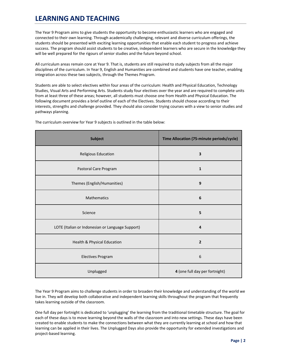# **LEARNING AND TEACHING**

The Year 9 Program aims to give students the opportunity to become enthusiastic learners who are engaged and connected to their own learning. Through academically challenging, relevant and diverse curriculum offerings, the students should be presented with exciting learning opportunities that enable each student to progress and achieve success. The program should assist students to be creative, independent learners who are secure in the knowledge they will be well prepared for the rigours of senior studies and the future beyond school.

All curriculum areas remain core at Year 9. That is, students are still required to study subjects from all the major disciplines of the curriculum. In Year 9, English and Humanities are combined and students have one teacher, enabling integration across these two subjects, through the Themes Program.

Students are able to select electives within four areas of the curriculum: Health and Physical Education, Technology Studies, Visual Arts and Performing Arts. Students study four electives over the year and are required to complete units from at least three of these areas; however, all students must choose one from Health and Physical Education. The following document provides a brief outline of each of the Electives. Students should choose according to their interests, strengths and challenge provided. They should also consider trying courses with a view to senior studies and pathways planning.

| <b>Subject</b>                                   | Time Allocation (75-minute periods/cycle) |
|--------------------------------------------------|-------------------------------------------|
| Religious Education                              | $\overline{\mathbf{3}}$                   |
| Pastoral Care Program                            | ${\bf 1}$                                 |
| Themes (English/Humanities)                      | $\boldsymbol{9}$                          |
| Mathematics                                      | 6                                         |
| Science                                          | 5                                         |
| LOTE (Italian or Indonesian or Language Support) | $\overline{4}$                            |
| Health & Physical Education                      | $\overline{2}$                            |
| <b>Electives Program</b>                         | $\boldsymbol{6}$                          |
| Unplugged                                        | 4 (one full day per fortnight)            |

The curriculum overview for Year 9 subjects is outlined in the table below:

The Year 9 Program aims to challenge students in order to broaden their knowledge and understanding of the world we live in. They will develop both collaborative and independent learning skills throughout the program that frequently takes learning outside of the classroom.

One full day per fortnight is dedicated to 'unplugging' the learning from the traditional timetable structure. The goal for each of these days is to move learning beyond the walls of the classroom and into new settings. These days have been created to enable students to make the connections between what they are currently learning at school and how that learning can be applied in their lives. The Unplugged Days also provide the opportunity for extended investigations and project‐based learning.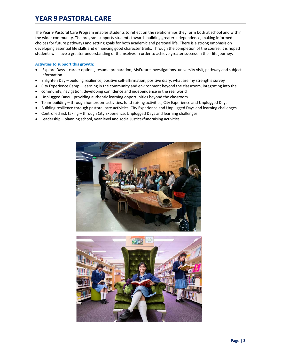# **YEAR 9 PASTORAL CARE**

The Year 9 Pastoral Care Program enables students to reflect on the relationships they form both at school and within the wider community. The program supports students towards building greater independence, making informed choices for future pathways and setting goals for both academic and personal life. There is a strong emphasis on developing essential life skills and enhancing good character traits. Through the completion of the course, it is hoped students will have a greater understanding of themselves in order to achieve greater success in their life journey.

### **Activities to support this growth:**

- iExplore Days career options, resume preparation, MyFuture investigations, university visit, pathway and subject information
- Enlighten Day building resilience, positive self‐affirmation, positive diary, what are my strengths survey
- City Experience Camp learning in the community and environment beyond the classroom, integrating into the
- community, navigation, developing confidence and independence in the real world
- Unplugged Days providing authentic learning opportunities beyond the classroom
- Team-building through homeroom activities, fund-raising activities, City Experience and Unplugged Days
- Building resilience through pastoral care activities, City Experience and Unplugged Days and learning challenges
- Controlled risk taking through City Experience, Unplugged Days and learning challenges
- Leadership planning school, year level and social justice/fundraising activities

![](_page_3_Picture_12.jpeg)

![](_page_3_Picture_13.jpeg)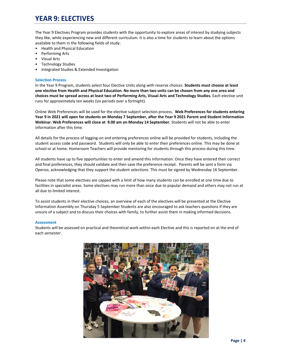# **YEAR 9: ELECTIVES**

The Year 9 Electives Program provides students with the opportunity to explore areas of interest by studying subjects they like, while experiencing new and different curriculum. It is also a time for students to learn about the options available to them in the following fields of study:

- Health and Physical Education
- Performing Arts
- Visual Arts
- Technology Studies
- Integrated Studies & Extended Investigation

# **Selection Process**

In the Year 9 Program, students select four Elective Units along with reserve choices. **Students must choose at least one elective from Health and Physical Education**. **No more than two units can be chosen from any one area and choices must be spread across at least two of Performing Arts, Visual Arts and Technology Studies.** Each elective unit runs for approximately ten weeks (six periods over a fortnight).

Online Web Preferences will be used for the elective subject selection process. **Web Preferences for students entering Year 9 in 2021 will open for students on Monday 7 September, after the Year 9 2021 Parent and Student Information Webinar. Web Preferences will close at 9.00 am on Monday 14 September**. Students will not be able to enter information after this time.

All details for the process of logging‐on and entering preferences online will be provided for students, including the student access code and password. Students will only be able to enter their preferences online. This may be done at school or at home. Homeroom Teachers will provide mentoring for students through this process during this time.

All students have up to five opportunities to enter and amend this information. Once they have entered their correct and final preferences, they should validate and then save the preference receipt. Parents will be sent a form via Operoo, acknowledging that they support the student selections. This must be signed by Wednesday 16 September.

Please note that some electives are capped with a limit of how many students can be enrolled at one time due to facilities in specialist areas. Some electives may run more than once due to popular demand and others may not run at all due to limited interest.

To assist students in their elective choices, an overview of each of the electives will be presented at the Elective Information Assembly on Thursday 5 September Students are also encouraged to ask teachers questions if they are unsure of a subject and to discuss their choices with family, to further assist them in making informed decisions.

# **Assessment**

Students will be assessed on practical and theoretical work within each Elective and this is reported on at the end of each semester.

![](_page_4_Picture_16.jpeg)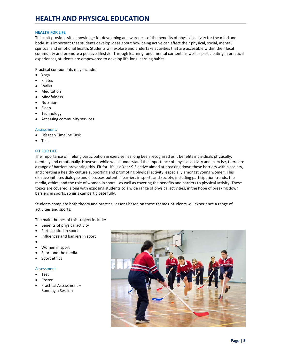# **HEALTH FOR LIFE**

This unit provides vital knowledge for developing an awareness of the benefits of physical activity for the mind and body. It is important that students develop ideas about how being active can affect their physical, social, mental, spiritual and emotional health. Students will explore and undertake activities that are accessible within their local community and promote a positive lifestyle. Through learning fundamental content, as well as participating in practical experiences, students are empowered to develop life‐long learning habits.

Practical components may include:

- Yoga
- Pilates
- Walks
- Meditation
- Mindfulness
- Nutrition
- Sleep
- Technology
- Accessing community services

#### Assessment:

- Lifespan Timeline Task
- Test

# **FIT FOR LIFE**

The importance of lifelong participation in exercise has long been recognised as it benefits individuals physically, mentally and emotionally. However, while we all understand the importance of physical activity and exercise, there are a range of barriers preventing this. Fit for Life is a Year 9 Elective aimed at breaking down these barriers within society, and creating a healthy culture supporting and promoting physical activity, especially amongst young women. This elective initiates dialogue and discusses potential barriers in sports and society, including participation trends, the media, ethics, and the role of women in sport – as well as covering the benefits and barriers to physical activity. These topics are covered, along with exposing students to a wide range of physical activities, in the hope of breaking down barriers in sports, so girls can participate fully.

Students complete both theory and practical lessons based on these themes. Students will experience a range of activities and sports.

The main themes of this subject include:

- Benefits of physical activity
- Participation in sport
- Influences and barriers in sport
- $\bullet$
- Women in sport
- Sport and the media
- Sport ethics

- Test
- Poster
- Practical Assessment Running a Session

![](_page_5_Picture_31.jpeg)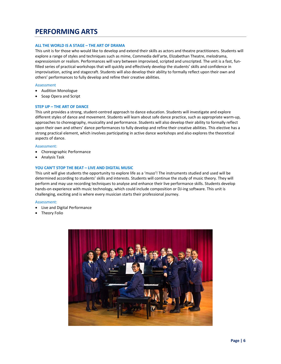# **PERFORMING ARTS**

# **ALL THE WORLD IS A STAGE – THE ART OF DRAMA**

This unit is for those who would like to develop and extend their skills as actors and theatre practitioners. Students will explore a range of styles and techniques such as mime, Commedia dell'arte, Elizabethan Theatre, melodrama, expressionism or realism. Performances will vary between improvised, scripted and unscripted. The unit is a fast, funfilled series of practical workshops that will quickly and effectively develop the students' skills and confidence in improvisation, acting and stagecraft. Students will also develop their ability to formally reflect upon their own and others' performances to fully develop and refine their creative abilities.

#### Assessment

- Audition Monologue
- Soap Opera and Script

#### **STEP UP – THE ART OF DANCE**

This unit provides a strong, student‐centred approach to dance education. Students will investigate and explore different styles of dance and movement. Students will learn about safe dance practice, such as appropriate warm‐up, approaches to choreography, musicality and performance. Students will also develop their ability to formally reflect upon their own and others' dance performances to fully develop and refine their creative abilities. This elective has a strong practical element, which involves participating in active dance workshops and also explores the theoretical aspects of dance.

#### Assessment:

- Choreographic Performance
- Analysis Task

#### **YOU CAN'T STOP THE BEAT – LIVE AND DIGITAL MUSIC**

This unit will give students the opportunity to explore life as a 'muso'! The instruments studied and used will be determined according to students' skills and interests. Students will continue the study of music theory. They will perform and may use recording techniques to analyse and enhance their live performance skills. Students develop hands-on experience with music technology, which could include composition or DJ-ing software. This unit is challenging, exciting and is where every musician starts their professional journey.

- Live and Digital Performance
- Theory Folio

![](_page_6_Picture_16.jpeg)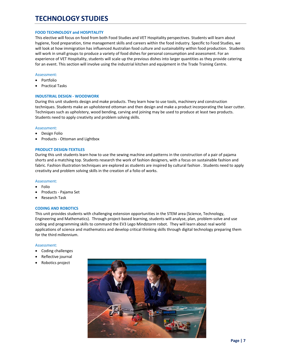# **TECHNOLOGY STUDIES**

#### **FOOD TECHNOLOGY and HOSPITALITY**

This elective will focus on food from both Food Studies and VET Hospitality perspectives. Students will learn about hygiene, food preparation, time management skills and careers within the food industry. Specific to Food Studies, we will look at how immigration has influenced Australian food culture and sustainability within food production. Students will work in small groups to produce a variety of food dishes for personal consumption and assessment. For an experience of VET Hospitality, students will scale up the previous dishes into larger quantities as they provide catering for an event. This section will involve using the industrial kitchen and equipment in the Trade Training Centre.

#### Assessment:

- Portfolio
- Practical Tasks

# **INDUSTRIAL DESIGN ‐ WOODWORK**

During this unit students design and make products. They learn how to use tools, machinery and construction techniques. Students make an upholstered ottoman and then design and make a product incorporating the laser cutter. Techniques such as upholstery, wood bending, carving and joining may be used to produce at least two products. Students need to apply creativity and problem solving skills.

#### Assessment:

- Design Folio
- Products ‐ Ottoman and Lightbox

### **PRODUCT DESIGN‐TEXTILES**

During this unit students learn how to use the sewing machine and patterns in the construction of a pair of pajama shorts and a matching top. Students research the work of fashion designers, with a focus on sustainable fashion and fabric. Fashion illustration techniques are explored as students are inspired by cultural fashion . Students need to apply creativity and problem solving skills in the creation of a folio of works.

#### Assessment:

- Folio
- Products ‐ Pajama Set
- Research Task

# **CODING AND ROBOTICS**

This unit provides students with challenging extension opportunities in the STEM area (Science, Technology, Engineering and Mathematics). Through project-based learning, students will analyse, plan, problem-solve and use coding and programming skills to command the EV3 Lego Mindstorm robot. They will learn about real world applications of science and mathematics and develop critical thinking skills through digital technology preparing them for the third millennium.

- Coding challenges
- Reflective journal
- Robotics project

![](_page_7_Picture_23.jpeg)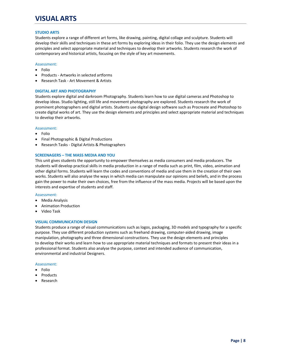# **VISUAL ARTS**

# **STUDIO ARTS**

Students explore a range of different art forms, like drawing, painting, digital collage and sculpture. Students will develop their skills and techniques in these art forms by exploring ideas in their folio. They use the design elements and principles and select appropriate material and techniques to develop their artworks. Students research the work of contemporary and historical artists, focusing on the style of key art movements.

### Assessment:

- Folio
- Products ‐ Artworks in selected artforms
- Research Task ‐ Art Movement & Artists

### **DIGITAL ART AND PHOTOGRAPHY**

Students explore digital and darkroom Photography. Students learn how to use digital cameras and Photoshop to develop ideas. Studio lighting, still life and movement photography are explored. Students research the work of prominent photographers and digital artists. Students use digital design software such as Procreate and Photoshop to create digital works of art. They use the design elements and principles and select appropriate material and techniques to develop their artworks.

### Assessment:

- Folio
- Final Photographic & Digital Productions
- Research Tasks Digital Artists & Photographers

### **SCREENAGERS – THE MASS MEDIA AND YOU**

This unit gives students the opportunity to empower themselves as media consumers and media producers. The students will develop practical skills in media production in a range of media such as print, film, video, animation and other digital forms. Students will learn the codes and conventions of media and use them in the creation of their own works. Students will also analyse the ways in which media can manipulate our opinions and beliefs, and in the process gain the power to make their own choices, free from the influence of the mass media. Projects will be based upon the interests and expertise of students and staff.

#### Assessment:

- Media Analysis
- Animation Production
- Video Task

# **VISUAL COMMUNICATION DESIGN**

Students produce a range of visual communications such as logos, packaging, 3D models and typography for a specific purpose. They use different production systems such as freehand drawing, computer‐aided drawing, image manipulation, photography and three dimensional constructions. They use the design elements and principles to develop their works and learn how to use appropriate material techniques and formats to present their ideas in a professional format. Students also analyse the purpose, context and intended audience of communication, environmental and industrial Designers.

- Folio
- Products
- Research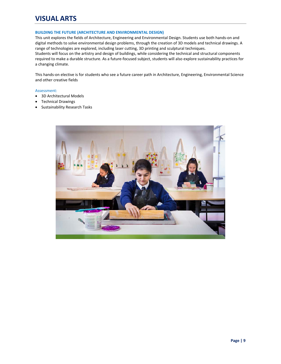# **VISUAL ARTS**

# **BUILDING THE FUTURE (ARCHITECTURE AND ENVIRONMENTAL DESIGN)**

This unit explores the fields of Architecture, Engineering and Environmental Design. Students use both hands‐on and digital methods to solve environmental design problems, through the creation of 3D models and technical drawings. A range of technologies are explored, including laser cutting, 3D printing and sculptural techniques.

Students will focus on the artistry and design of buildings, while considering the technical and structural components required to make a durable structure. As a future‐focused subject, students will also explore sustainability practices for a changing climate.

This hands‐on elective is for students who see a future career path in Architecture, Engineering, Environmental Science and other creative fields

- 3D Architectural Models
- Technical Drawings
- Sustainability Research Tasks

![](_page_9_Picture_9.jpeg)